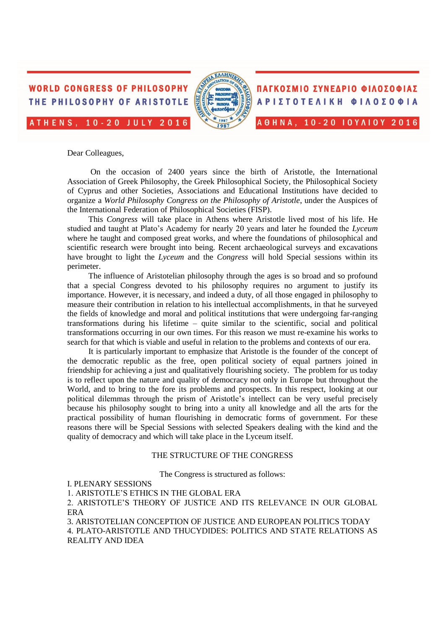



ΠΑΓΚΟΣΜΙΟ ΣΥΝΕΔΡΙΟ ΦΙΛΟΣΟΦΙΑΣ ΑΡΙΣΤΟΤΕΛΙΚΗ ΦΙΛΟΣΟΦΙΑ A  $\theta$  H N A, 10-20 IOYAIOY 2016

Dear Colleagues,

On the occasion of 2400 years since the birth of Aristotle, the International Association of Greek Philosophy, the Greek Philosophical Society, the Philosophical Society of Cyprus and other Societies, Associations and Educational Institutions have decided to organize a *World Philosophy Congress on the Philosophy of Aristotle*, under the Auspices of the International Federation of Philosophical Societies (FISP).

This *Congress* will take place in Athens where Aristotle lived most of his life. He studied and taught at Plato's Academy for nearly 20 years and later he founded the *Lyceum* where he taught and composed great works, and where the foundations of philosophical and scientific research were brought into being. Recent archaeological surveys and excavations have brought to light the *Lyceum* and the *Congress* will hold Special sessions within its perimeter.

The influence of Aristotelian philosophy through the ages is so broad and so profound that a special Congress devoted to his philosophy requires no argument to justify its importance. However, it is necessary, and indeed a duty, of all those engaged in philosophy to measure their contribution in relation to his intellectual accomplishments, in that he surveyed the fields of knowledge and moral and political institutions that were undergoing far-ranging transformations during his lifetime – quite similar to the scientific, social and political transformations occurring in our own times. For this reason we must re-examine his works to search for that which is viable and useful in relation to the problems and contexts of our era.

It is particularly important to emphasize that Aristotle is the founder of the concept of the democratic republic as the free, open political society of equal partners joined in friendship for achieving a just and qualitatively flourishing society. The problem for us today is to reflect upon the nature and quality of democracy not only in Europe but throughout the World, and to bring to the fore its problems and prospects. In this respect, looking at our political dilemmas through the prism of Aristotle's intellect can be very useful precisely because his philosophy sought to bring into a unity all knowledge and all the arts for the practical possibility of human flourishing in democratic forms of government. For these reasons there will be Special Sessions with selected Speakers dealing with the kind and the quality of democracy and which will take place in the Lyceum itself.

### THE STRUCTURE OF THE CONGRESS

The Congress is structured as follows:

Ι. PLENARY SESSIONS

1. ARISTOTLE'S ETHICS IN THE GLOBAL ERA

2. ARISTOTLE'S THEORY OF JUSTICE AND ITS RELEVANCE IN OUR GLOBAL ERA

3. ARISTOTELIAN CONCEPTION OF JUSTICE AND EUROPEAN POLITICS TODAY 4. PLATO-ARISTOTLE AND THUCYDIDES: POLITICS AND STATE RELATIONS AS REALITY AND IDEA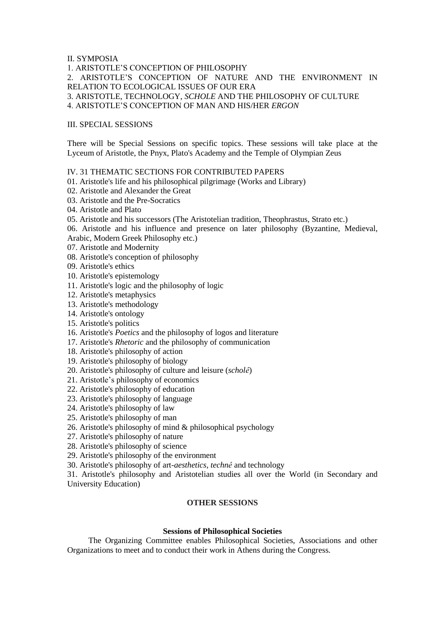# II. SYMPOSIA

1. ARISTOTLE'S CONCEPTION OF PHILOSOPHY 2. ARISTOTLE'S CONCEPTION OF NATURE AND THE ENVIRONMENT IN RELATION TO ECOLOGICAL ISSUES OF OUR ERA 3. ARISTOTLE, TECHNOLOGY, *SCHOLE* AND THE PHILOSOPHY OF CULTURE 4. ARISTOTLE'S CONCEPTION OF MAN AND HIS/HER *ERGON* 

# III. SPECIAL SESSIONS

There will be Special Sessions on specific topics. These sessions will take place at the Lyceum of Aristotle, the Pnyx, Plato's Academy and the Temple of Olympian Zeus

IV. 31 THEMATIC SECTIONS FOR CONTRIBUTED PAPERS

- 01. Aristotle's life and his philosophical pilgrimage (Works and Library)
- 02. Aristotle and Alexander the Great
- 03. Aristotle and the Pre-Socratics
- 04. Aristotle and Plato
- 05. Aristotle and his successors (The Aristotelian tradition, Theophrastus, Strato etc.)
- 06. Aristotle and his influence and presence on later philosophy (Byzantine, Medieval,
- Arabic, Modern Greek Philosophy etc.)
- 07. Aristotle and Modernity
- 08. Aristotle's conception of philosophy
- 09. Aristotle's ethics
- 10. Aristotle's epistemology
- 11. Aristotle's logic and the philosophy of logic
- 12. Aristotle's metaphysics
- 13. Aristotle's methodology
- 14. Aristotle's ontology
- 15. Aristotle's politics
- 16. Aristotle's *Poetics* and the philosophy of logos and literature
- 17. Aristotle's *Rhetoric* and the philosophy of communication
- 18. Aristotle's philosophy of action
- 19. Aristotle's philosophy of biology
- 20. Aristotle's philosophy of culture and leisure (*scholê*)
- 21. Aristotle's philosophy of economics
- 22. Aristotle's philosophy of education
- 23. Aristotle's philosophy of language
- 24. Aristotle's philosophy of law
- 25. Aristotle's philosophy of man
- 26. Aristotle's philosophy of mind & philosophical psychology
- 27. Aristotle's philosophy of nature
- 28. Aristotle's philosophy of science
- 29. Aristotle's philosophy of the environment
- 30. Aristotle's philosophy of art*-aesthetics, technê* and technology

31. Aristotle's philosophy and Aristotelian studies all over the World (in Secondary and University Education)

# **OTHER SESSIONS**

# **Sessions of Philosophical Societies**

The Organizing Committee enables Philosophical Societies, Associations and other Organizations to meet and to conduct their work in Athens during the Congress.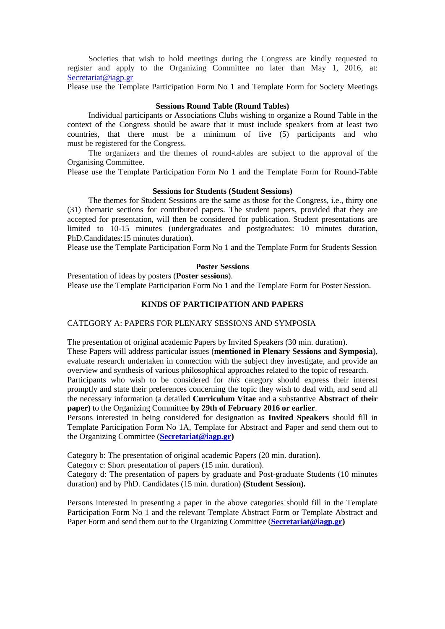Societies that wish to hold meetings during the Congress are kindly requested to register and apply to the Organizing Committee no later than May 1, 2016, at: [Secretariat@iagp.gr](mailto:Secretariat@iagp.gr)

Please use the Template Participation Form No 1 and Template Form for Society Meetings

### **Sessions Round Table (Round Tables)**

Individual participants or Associations Clubs wishing to organize a Round Table in the context of the Congress should be aware that it must include speakers from at least two countries, that there must be a minimum of five (5) participants and who must be registered for the Congress.

The organizers and the themes of round-tables are subject to the approval of the Organising Committee.

Please use the Template Participation Form No 1 and the Template Form for Round-Table

#### **Sessions for Students (Student Sessions)**

The themes for Student Sessions are the same as those for the Congress, i.e., thirty one (31) thematic sections for contributed papers. The student papers, provided that they are accepted for presentation, will then be considered for publication. Student presentations are limited to 10-15 minutes (undergraduates and postgraduates: 10 minutes duration, PhD.Candidates:15 minutes duration).

Please use the Template Participation Form No 1 and the Template Form for Students Session

# **Poster Sessions**

Presentation of ideas by posters (**Poster sessions**). Please use the Template Participation Form No 1 and the Template Form for Poster Session.

### **KINDS OF PARTICIPATION AND PAPERS**

#### CATEGORY A: PAPERS FOR PLENARY SESSIONS AND SYMPOSIA

The presentation of original academic Papers by Invited Speakers (30 min. duration).

These Papers will address particular issues (**mentioned in Plenary Sessions and Symposia**), evaluate research undertaken in connection with the subject they investigate, and provide an overview and synthesis of various philosophical approaches related to the topic of research.

Participants who wish to be considered for *this* category should express their interest promptly and state their preferences concerning the topic they wish to deal with, and send all the necessary information (a detailed **Curriculum Vitae** and a substantive **Abstract of their paper)** to the Organizing Committee **by 29th of February 2016 or earlier**.

Persons interested in being considered for designation as **Invited Speakers** should fill in Template Participation Form Νo 1A, Template for Abstract and Paper and send them out to the Organizing Committee (**[Secretariat@iagp.gr\)](mailto:Secretariat@iagp.gr)**

Category b: The presentation of original academic Papers (20 min. duration).

Category c: Short presentation of papers (15 min. duration).

Category d: The presentation of papers by graduate and Post-graduate Students (10 minutes duration) and by PhD. Candidates (15 min. duration) **(Student Session).**

Persons interested in presenting a paper in the above categories should fill in the Template Participation Form No 1 and the relevant Template Abstract Form or Template Abstract and Paper Form and send them out to the Organizing Committee (**[Secretariat@iagp.gr\)](mailto:Secretariat@iagp.gr)**